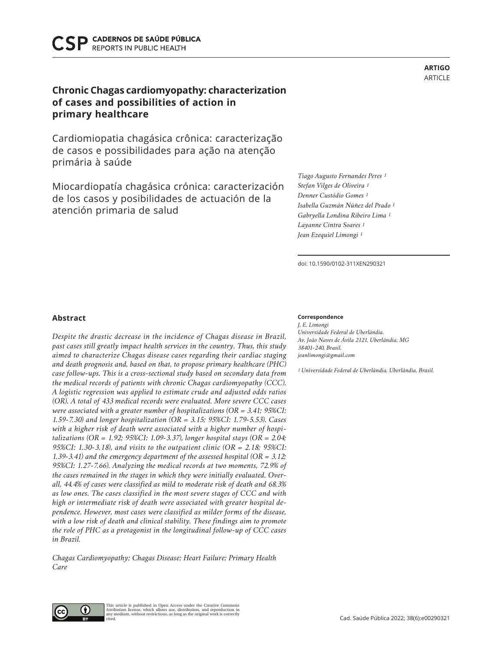CADERNOS DE SAÚDE PÚBLICA **REPORTS IN PUBLIC HEALTH** 

# **Chronic Chagas cardiomyopathy: characterization of cases and possibilities of action in primary healthcare**

Cardiomiopatia chagásica crônica: caracterização de casos e possibilidades para ação na atenção primária à saúde

Miocardiopatía chagásica crónica: caracterización de los casos y posibilidades de actuación de la atención primaria de salud

# **Abstract**

*Despite the drastic decrease in the incidence of Chagas disease in Brazil, past cases still greatly impact health services in the country. Thus, this study aimed to characterize Chagas disease cases regarding their cardiac staging and death prognosis and, based on that, to propose primary healthcare (PHC) case follow-ups. This is a cross-sectional study based on secondary data from the medical records of patients with chronic Chagas cardiomyopathy (CCC). A logistic regression was applied to estimate crude and adjusted odds ratios (OR). A total of 433 medical records were evaluated. More severe CCC cases were associated with a greater number of hospitalizations (OR = 3.41; 95%CI: 1.59-7.30) and longer hospitalization (OR = 3.15; 95%CI: 1.79-5.53). Cases with a higher risk of death were associated with a higher number of hospitalizations (OR = 1.92; 95%CI: 1.09-3.37), longer hospital stays (OR = 2.04; 95%CI: 1.30-3.18), and visits to the outpatient clinic (OR = 2.18; 95%CI: 1.39-3.41) and the emergency department of the assessed hospital (OR = 3.12; 95%CI: 1.27-7.66). Analyzing the medical records at two moments, 72.9% of the cases remained in the stages in which they were initially evaluated. Overall, 44.4% of cases were classified as mild to moderate risk of death and 68.3% as low ones. The cases classified in the most severe stages of CCC and with high or intermediate risk of death were associated with greater hospital dependence. However, most cases were classified as milder forms of the disease, with a low risk of death and clinical stability. These findings aim to promote the role of PHC as a protagonist in the longitudinal follow-up of CCC cases in Brazil.*

*Chagas Cardiomyopathy; Chagas Disease; Heart Failure; Primary Health Care*

> This article is published in Open Access under the Creative Commons Attribution license, which allows use, distribution, and reproduction in any medium, without restrictions, as long as the original work is correctly

## **Correspondence**

*J. E. Limongi Universidade Federal de Uberlândia. Av. João Naves de Ávila 2121, Uberlândia, MG 38401-240, Brasil. jeanlimongi@gmail.com*

*1 Universidade Federal de Uberlândia, Uberlândia, Brasil.*

# *Isabella Guzmán Núñez del Prado 1 Gabryella Londina Ribeiro Lima 1 Layanne Cintra Soares 1 Jean Ezequiel Limongi 1*

*Tiago Augusto Fernandes Peres 1 Stefan Vilges de Oliveira 1 Denner Custódio Gomes 1*

doi: 10.1590/0102-311XEN290321



cited.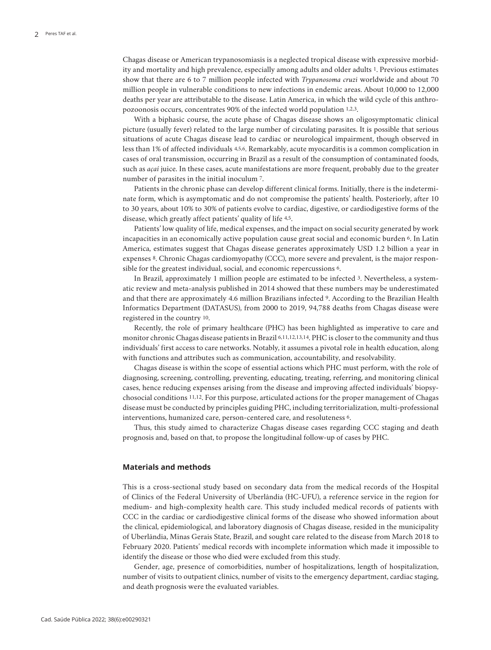Chagas disease or American trypanosomiasis is a neglected tropical disease with expressive morbidity and mortality and high prevalence, especially among adults and older adults 1. Previous estimates show that there are 6 to 7 million people infected with *Trypanosoma cruzi* worldwide and about 70 million people in vulnerable conditions to new infections in endemic areas. About 10,000 to 12,000 deaths per year are attributable to the disease. Latin America, in which the wild cycle of this anthropozoonosis occurs, concentrates 90% of the infected world population 1,2,3.

With a biphasic course, the acute phase of Chagas disease shows an oligosymptomatic clinical picture (usually fever) related to the large number of circulating parasites. It is possible that serious situations of acute Chagas disease lead to cardiac or neurological impairment, though observed in less than 1% of affected individuals 4,5,6. Remarkably, acute myocarditis is a common complication in cases of oral transmission, occurring in Brazil as a result of the consumption of contaminated foods, such as *açaí* juice. In these cases, acute manifestations are more frequent, probably due to the greater number of parasites in the initial inoculum 7.

Patients in the chronic phase can develop different clinical forms. Initially, there is the indeterminate form, which is asymptomatic and do not compromise the patients' health. Posteriorly, after 10 to 30 years, about 10% to 30% of patients evolve to cardiac, digestive, or cardiodigestive forms of the disease, which greatly affect patients' quality of life 4,5.

Patients' low quality of life, medical expenses, and the impact on social security generated by work incapacities in an economically active population cause great social and economic burden 6. In Latin America, estimates suggest that Chagas disease generates approximately USD 1.2 billion a year in expenses 8. Chronic Chagas cardiomyopathy (CCC), more severe and prevalent, is the major responsible for the greatest individual, social, and economic repercussions 6.

In Brazil, approximately 1 million people are estimated to be infected 3. Nevertheless, a systematic review and meta-analysis published in 2014 showed that these numbers may be underestimated and that there are approximately 4.6 million Brazilians infected 9. According to the Brazilian Health Informatics Department (DATASUS), from 2000 to 2019, 94,788 deaths from Chagas disease were registered in the country 10.

Recently, the role of primary healthcare (PHC) has been highlighted as imperative to care and monitor chronic Chagas disease patients in Brazil 6,11,12,13,14. PHC is closer to the community and thus individuals' first access to care networks. Notably, it assumes a pivotal role in health education, along with functions and attributes such as communication, accountability, and resolvability.

Chagas disease is within the scope of essential actions which PHC must perform, with the role of diagnosing, screening, controlling, preventing, educating, treating, referring, and monitoring clinical cases, hence reducing expenses arising from the disease and improving affected individuals' biopsychosocial conditions 11,12. For this purpose, articulated actions for the proper management of Chagas disease must be conducted by principles guiding PHC, including territorialization, multi-professional interventions, humanized care, person-centered care, and resoluteness 6.

Thus, this study aimed to characterize Chagas disease cases regarding CCC staging and death prognosis and, based on that, to propose the longitudinal follow-up of cases by PHC.

## **Materials and methods**

This is a cross-sectional study based on secondary data from the medical records of the Hospital of Clinics of the Federal University of Uberlândia (HC-UFU), a reference service in the region for medium- and high-complexity health care. This study included medical records of patients with CCC in the cardiac or cardiodigestive clinical forms of the disease who showed information about the clinical, epidemiological, and laboratory diagnosis of Chagas disease, resided in the municipality of Uberlândia, Minas Gerais State, Brazil, and sought care related to the disease from March 2018 to February 2020. Patients' medical records with incomplete information which made it impossible to identify the disease or those who died were excluded from this study.

Gender, age, presence of comorbidities, number of hospitalizations, length of hospitalization, number of visits to outpatient clinics, number of visits to the emergency department, cardiac staging, and death prognosis were the evaluated variables.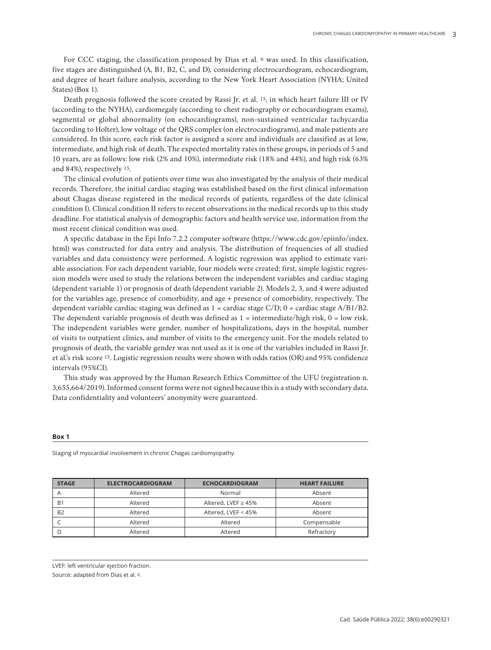For CCC staging, the classification proposed by Dias et al. 6 was used. In this classification, five stages are distinguished (A, B1, B2, C, and D), considering electrocardiogram, echocardiogram, and degree of heart failure analysis, according to the New York Heart Association (NYHA; United States) (Box 1).

Death prognosis followed the score created by Rassi Jr. et al. 15, in which heart failure III or IV (according to the NYHA), cardiomegaly (according to chest radiography or echocardiogram exams), segmental or global abnormality (on echocardiograms), non-sustained ventricular tachycardia (according to Holter), low voltage of the QRS complex (on electrocardiograms), and male patients are considered. In this score, each risk factor is assigned a score and individuals are classified as at low, intermediate, and high risk of death. The expected mortality rates in these groups, in periods of 5 and 10 years, are as follows: low risk (2% and 10%), intermediate risk (18% and 44%), and high risk (63% and 84%), respectively 15.

The clinical evolution of patients over time was also investigated by the analysis of their medical records. Therefore, the initial cardiac staging was established based on the first clinical information about Chagas disease registered in the medical records of patients, regardless of the date (clinical condition I). Clinical condition II refers to recent observations in the medical records up to this study deadline. For statistical analysis of demographic factors and health service use, information from the most recent clinical condition was used.

A specific database in the Epi Info 7.2.2 computer software (https://www.cdc.gov/epiinfo/index. html) was constructed for data entry and analysis. The distribution of frequencies of all studied variables and data consistency were performed. A logistic regression was applied to estimate variable association. For each dependent variable, four models were created: first, simple logistic regression models were used to study the relations between the independent variables and cardiac staging (dependent variable 1) or prognosis of death (dependent variable 2). Models 2, 3, and 4 were adjusted for the variables age, presence of comorbidity, and age + presence of comorbidity, respectively. The dependent variable cardiac staging was defined as  $1 =$  cardiac stage  $C/D$ ;  $0 =$  cardiac stage  $A/B1/B2$ . The dependent variable prognosis of death was defined as  $1 =$  intermediate/high risk,  $0 =$  low risk. The independent variables were gender, number of hospitalizations, days in the hospital, number of visits to outpatient clinics, and number of visits to the emergency unit. For the models related to prognosis of death, the variable gender was not used as it is one of the variables included in Rassi Jr. et al.'s risk score 15. Logistic regression results were shown with odds ratios (OR) and 95% confidence intervals (95%CI).

This study was approved by the Human Research Ethics Committee of the UFU (registration n. 3,655,664/2019). Informed consent forms were not signed because this is a study with secondary data. Data confidentiality and volunteers' anonymity were guaranteed.

#### **Box 1**

| <b>STAGE</b> | <b>ELECTROCARDIOGRAM</b> | <b>ECHOCARDIOGRAM</b>     | <b>HEART FAILURE</b> |
|--------------|--------------------------|---------------------------|----------------------|
| A            | Altered                  | Normal                    | Absent               |
| <b>B1</b>    | Altered                  | Altered, LVEF $\geq 45\%$ | Absent               |
| <b>B2</b>    | Altered                  | Altered, LVEF < 45%       | Absent               |
|              | Altered                  | Altered                   | Compensable          |
|              | Altered                  | Altered                   | Refractory           |

Staging of myocardial involvement in chronic Chagas cardiomyopathy.

LVEF: left ventricular ejection fraction.

Source: adapted from Dias et al. 6.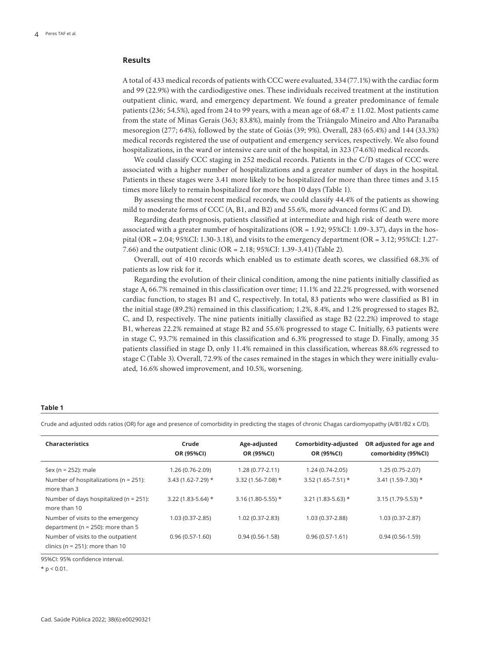## **Results**

A total of 433 medical records of patients with CCC were evaluated, 334 (77.1%) with the cardiac form and 99 (22.9%) with the cardiodigestive ones. These individuals received treatment at the institution outpatient clinic, ward, and emergency department. We found a greater predominance of female patients (236; 54.5%), aged from 24 to 99 years, with a mean age of 68.47 ± 11.02. Most patients came from the state of Minas Gerais (363; 83.8%), mainly from the Triângulo Mineiro and Alto Paranaíba mesoregion (277; 64%), followed by the state of Goiás (39; 9%). Overall, 283 (65.4%) and 144 (33.3%) medical records registered the use of outpatient and emergency services, respectively. We also found hospitalizations, in the ward or intensive care unit of the hospital, in 323 (74.6%) medical records.

We could classify CCC staging in 252 medical records. Patients in the C/D stages of CCC were associated with a higher number of hospitalizations and a greater number of days in the hospital. Patients in these stages were 3.41 more likely to be hospitalized for more than three times and 3.15 times more likely to remain hospitalized for more than 10 days (Table 1).

By assessing the most recent medical records, we could classify 44.4% of the patients as showing mild to moderate forms of CCC (A, B1, and B2) and 55.6%, more advanced forms (C and D).

Regarding death prognosis, patients classified at intermediate and high risk of death were more associated with a greater number of hospitalizations (OR = 1.92; 95%CI: 1.09-3.37), days in the hospital (OR = 2.04; 95%CI: 1.30-3.18), and visits to the emergency department (OR = 3.12; 95%CI: 1.27- 7.66) and the outpatient clinic (OR = 2.18; 95%CI: 1.39-3.41) (Table 2).

Overall, out of 410 records which enabled us to estimate death scores, we classified 68.3% of patients as low risk for it.

Regarding the evolution of their clinical condition, among the nine patients initially classified as stage A, 66.7% remained in this classification over time; 11.1% and 22.2% progressed, with worsened cardiac function, to stages B1 and C, respectively. In total, 83 patients who were classified as B1 in the initial stage (89.2%) remained in this classification; 1.2%, 8.4%, and 1.2% progressed to stages B2, C, and D, respectively. The nine patients initially classified as stage B2 (22.2%) improved to stage B1, whereas 22.2% remained at stage B2 and 55.6% progressed to stage C. Initially, 63 patients were in stage C, 93.7% remained in this classification and 6.3% progressed to stage D. Finally, among 35 patients classified in stage D, only 11.4% remained in this classification, whereas 88.6% regressed to stage C (Table 3). Overall, 72.9% of the cases remained in the stages in which they were initially evaluated, 16.6% showed improvement, and 10.5%, worsening.

### **Table 1**

Crude and adjusted odds ratios (OR) for age and presence of comorbidity in predicting the stages of chronic Chagas cardiomyopathy (A/B1/B2 x C/D).

| <b>Characteristics</b>                                                     | Crude<br>OR (95%CI)   | Age-adjusted<br>OR (95%CI) | Comorbidity-adjusted<br>OR (95%CI) | OR adjusted for age and<br>comorbidity (95%Cl) |
|----------------------------------------------------------------------------|-----------------------|----------------------------|------------------------------------|------------------------------------------------|
| Sex (n = $252$ ); male                                                     | 1.26 (0.76-2.09)      | $1.28(0.77-2.11)$          | 1.24 (0.74-2.05)                   | $1.25(0.75-2.07)$                              |
| Number of hospitalizations ( $n = 251$ ):<br>more than 3                   | $3.43(1.62 - 7.29)$ * | 3.32 (1.56-7.08) *         | $3.52(1.65 - 7.51)*$               | 3.41 (1.59-7.30) *                             |
| Number of days hospitalized ( $n = 251$ ):<br>more than 10                 | 3.22 (1.83-5.64) *    | $3.16(1.80-5.55)*$         | $3.21(1.83 - 5.63)*$               | $3.15(1.79-5.53)*$                             |
| Number of visits to the emergency<br>department ( $n = 250$ ): more than 5 | 1.03 (0.37-2.85)      | 1.02 (0.37-2.83)           | 1.03 (0.37-2.88)                   | 1.03 (0.37-2.87)                               |
| Number of visits to the outpatient<br>clinics ( $n = 251$ ): more than 10  | $0.96(0.57-1.60)$     | $0.94(0.56-1.58)$          | $0.96(0.57-1.61)$                  | $0.94(0.56-1.59)$                              |

95%CI: 95% confidence interval.

 $*$  p < 0.01.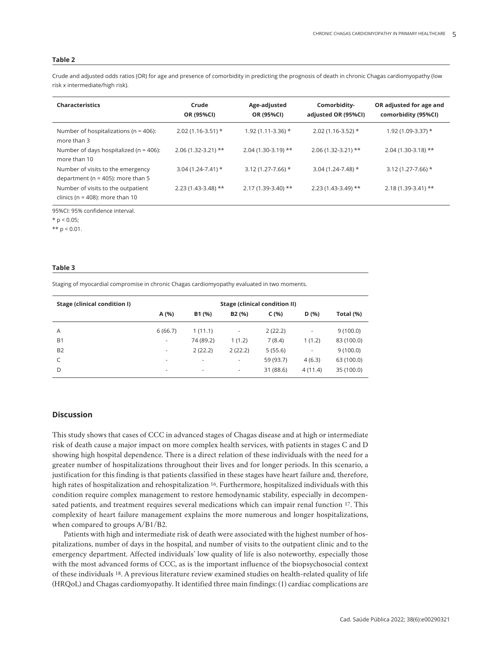### **Table 2**

Crude and adjusted odds ratios (OR) for age and presence of comorbidity in predicting the prognosis of death in chronic Chagas cardiomyopathy (low risk x intermediate/high risk).

| <b>Characteristics</b>                                                     | Crude<br>OR (95%CI)  | Age-adjusted<br>OR (95%CI) | Comorbidity-<br>adjusted OR (95%CI) | OR adjusted for age and<br>comorbidity (95%Cl) |
|----------------------------------------------------------------------------|----------------------|----------------------------|-------------------------------------|------------------------------------------------|
| Number of hospitalizations ( $n = 406$ ):<br>more than 3                   | $2.02(1.16-3.51)*$   | $1.92(1.11-3.36)$ *        | $2.02(1.16-3.52)*$                  | $1.92(1.09-3.37)$ *                            |
| Number of days hospitalized ( $n = 406$ ):<br>more than 10                 | $2.06(1.32-3.21)$ ** | $2.04(1.30-3.19)$ **       | $2.06(1.32-3.21)$ **                | $2.04(1.30-3.18)$ **                           |
| Number of visits to the emergency<br>department ( $n = 405$ ): more than 5 | $3.04(1.24-7.41)$ *  | $3.12(1.27 - 7.66)$ *      | $3.04(1.24-7.48)$ *                 | $3.12(1.27 - 7.66)$ *                          |
| Number of visits to the outpatient<br>clinics ( $n = 408$ ): more than 10  | $2.23(1.43-3.48)$ ** | $2.17(1.39-3.40)$ **       | $2.23(1.43-3.49)$ **                | $2.18(1.39-3.41)$ **                           |

95%CI: 95% confidence interval.

 $*$  p < 0.05;

\*\*  $p < 0.01$ .

### **Table 3**

Staging of myocardial compromise in chronic Chagas cardiomyopathy evaluated in two moments.

|                          | <b>Stage (clinical condition II)</b> |                    |           |                          |            |
|--------------------------|--------------------------------------|--------------------|-----------|--------------------------|------------|
| A (%)                    | B1 (%)                               | B <sub>2</sub> (%) | C(%)      | D(%)                     | Total (%)  |
| 6(66.7)                  | 1(11.1)                              | ۰                  | 2(22.2)   | ۰                        | 9(100.0)   |
| $\sim$                   | 74 (89.2)                            | 1(1.2)             | 7(8.4)    | 1(1.2)                   | 83 (100.0) |
| $\overline{\phantom{a}}$ | 2(22.2)                              | 2(22.2)            | 5(55.6)   | $\overline{\phantom{a}}$ | 9(100.0)   |
| ٠                        | $\overline{\phantom{a}}$             | ٠                  | 59 (93.7) | 4(6.3)                   | 63 (100.0) |
| $\overline{\phantom{a}}$ | $\overline{\phantom{a}}$             | ٠                  | 31 (88.6) | 4(11.4)                  | 35 (100.0) |
|                          |                                      |                    |           |                          |            |

## **Discussion**

This study shows that cases of CCC in advanced stages of Chagas disease and at high or intermediate risk of death cause a major impact on more complex health services, with patients in stages C and D showing high hospital dependence. There is a direct relation of these individuals with the need for a greater number of hospitalizations throughout their lives and for longer periods. In this scenario, a justification for this finding is that patients classified in these stages have heart failure and, therefore, high rates of hospitalization and rehospitalization 16. Furthermore, hospitalized individuals with this condition require complex management to restore hemodynamic stability, especially in decompensated patients, and treatment requires several medications which can impair renal function 17. This complexity of heart failure management explains the more numerous and longer hospitalizations, when compared to groups A/B1/B2.

Patients with high and intermediate risk of death were associated with the highest number of hospitalizations, number of days in the hospital, and number of visits to the outpatient clinic and to the emergency department. Affected individuals' low quality of life is also noteworthy, especially those with the most advanced forms of CCC, as is the important influence of the biopsychosocial context of these individuals 18. A previous literature review examined studies on health-related quality of life (HRQoL) and Chagas cardiomyopathy. It identified three main findings: (1) cardiac complications are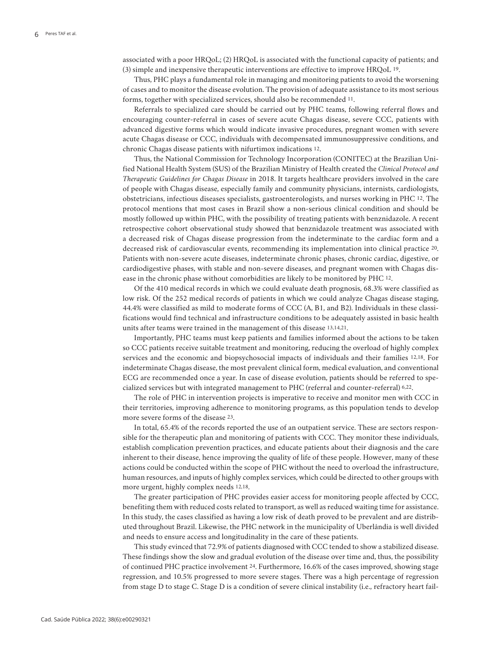associated with a poor HRQoL; (2) HRQoL is associated with the functional capacity of patients; and (3) simple and inexpensive therapeutic interventions are effective to improve HRQoL 19.

Thus, PHC plays a fundamental role in managing and monitoring patients to avoid the worsening of cases and to monitor the disease evolution. The provision of adequate assistance to its most serious forms, together with specialized services, should also be recommended 11.

Referrals to specialized care should be carried out by PHC teams, following referral flows and encouraging counter-referral in cases of severe acute Chagas disease, severe CCC, patients with advanced digestive forms which would indicate invasive procedures, pregnant women with severe acute Chagas disease or CCC, individuals with decompensated immunosuppressive conditions, and chronic Chagas disease patients with nifurtimox indications 12.

Thus, the National Commission for Technology Incorporation (CONITEC) at the Brazilian Unified National Health System (SUS) of the Brazilian Ministry of Health created the *Clinical Protocol and Therapeutic Guidelines for Chagas Disease* in 2018. It targets healthcare providers involved in the care of people with Chagas disease, especially family and community physicians, internists, cardiologists, obstetricians, infectious diseases specialists, gastroenterologists, and nurses working in PHC 12. The protocol mentions that most cases in Brazil show a non-serious clinical condition and should be mostly followed up within PHC, with the possibility of treating patients with benznidazole. A recent retrospective cohort observational study showed that benznidazole treatment was associated with a decreased risk of Chagas disease progression from the indeterminate to the cardiac form and a decreased risk of cardiovascular events, recommending its implementation into clinical practice 20. Patients with non-severe acute diseases, indeterminate chronic phases, chronic cardiac, digestive, or cardiodigestive phases, with stable and non-severe diseases, and pregnant women with Chagas disease in the chronic phase without comorbidities are likely to be monitored by PHC 12.

Of the 410 medical records in which we could evaluate death prognosis, 68.3% were classified as low risk. Of the 252 medical records of patients in which we could analyze Chagas disease staging, 44.4% were classified as mild to moderate forms of CCC (A, B1, and B2). Individuals in these classifications would find technical and infrastructure conditions to be adequately assisted in basic health units after teams were trained in the management of this disease 13,14,21.

Importantly, PHC teams must keep patients and families informed about the actions to be taken so CCC patients receive suitable treatment and monitoring, reducing the overload of highly complex services and the economic and biopsychosocial impacts of individuals and their families 12,18. For indeterminate Chagas disease, the most prevalent clinical form, medical evaluation, and conventional ECG are recommended once a year. In case of disease evolution, patients should be referred to specialized services but with integrated management to PHC (referral and counter-referral) 6,22.

The role of PHC in intervention projects is imperative to receive and monitor men with CCC in their territories, improving adherence to monitoring programs, as this population tends to develop more severe forms of the disease 23.

In total, 65.4% of the records reported the use of an outpatient service. These are sectors responsible for the therapeutic plan and monitoring of patients with CCC. They monitor these individuals, establish complication prevention practices, and educate patients about their diagnosis and the care inherent to their disease, hence improving the quality of life of these people. However, many of these actions could be conducted within the scope of PHC without the need to overload the infrastructure, human resources, and inputs of highly complex services, which could be directed to other groups with more urgent, highly complex needs 12,18.

The greater participation of PHC provides easier access for monitoring people affected by CCC, benefiting them with reduced costs related to transport, as well as reduced waiting time for assistance. In this study, the cases classified as having a low risk of death proved to be prevalent and are distributed throughout Brazil. Likewise, the PHC network in the municipality of Uberlândia is well divided and needs to ensure access and longitudinality in the care of these patients.

This study evinced that 72.9% of patients diagnosed with CCC tended to show a stabilized disease. These findings show the slow and gradual evolution of the disease over time and, thus, the possibility of continued PHC practice involvement 24. Furthermore, 16.6% of the cases improved, showing stage regression, and 10.5% progressed to more severe stages. There was a high percentage of regression from stage D to stage C. Stage D is a condition of severe clinical instability (i.e., refractory heart fail-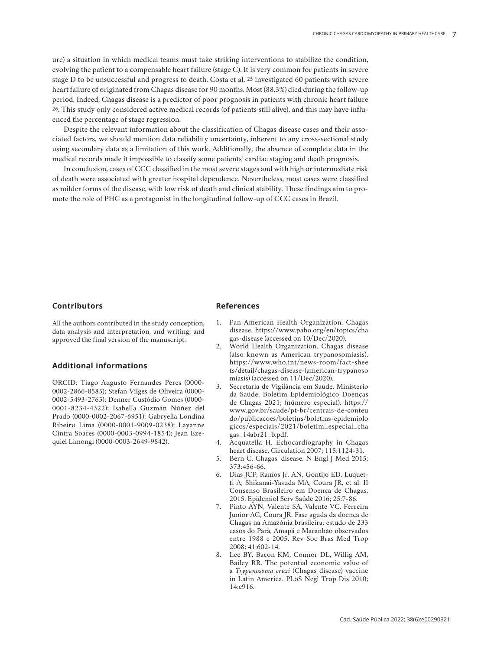ure) a situation in which medical teams must take striking interventions to stabilize the condition, evolving the patient to a compensable heart failure (stage C). It is very common for patients in severe stage D to be unsuccessful and progress to death. Costa et al. 25 investigated 60 patients with severe heart failure of originated from Chagas disease for 90 months. Most (88.3%) died during the follow-up period. Indeed, Chagas disease is a predictor of poor prognosis in patients with chronic heart failure 26. This study only considered active medical records (of patients still alive), and this may have influenced the percentage of stage regression.

Despite the relevant information about the classification of Chagas disease cases and their associated factors, we should mention data reliability uncertainty, inherent to any cross-sectional study using secondary data as a limitation of this work. Additionally, the absence of complete data in the medical records made it impossible to classify some patients' cardiac staging and death prognosis.

In conclusion, cases of CCC classified in the most severe stages and with high or intermediate risk of death were associated with greater hospital dependence. Nevertheless, most cases were classified as milder forms of the disease, with low risk of death and clinical stability. These findings aim to promote the role of PHC as a protagonist in the longitudinal follow-up of CCC cases in Brazil.

## **Contributors**

All the authors contributed in the study conception, data analysis and interpretation, and writing; and approved the final version of the manuscript.

## **Additional informations**

ORCID: Tiago Augusto Fernandes Peres (0000- 0002-2866-8585); Stefan Vilges de Oliveira (0000- 0002-5493-2765); Denner Custódio Gomes (0000- 0001-8234-4322); Isabella Guzmán Núñez del Prado (0000-0002-2067-6951); Gabryella Londina Ribeiro Lima (0000-0001-9009-0238); Layanne Cintra Soares (0000-0003-0994-1854); Jean Ezequiel Limongi (0000-0003-2649-9842).

**References**

- 1. Pan American Health Organization. Chagas disease. https://www.paho.org/en/topics/cha gas-disease (accessed on 10/Dec/2020).
- 2. World Health Organization. Chagas disease (also known as American trypanosomiasis). https://www.who.int/news-room/fact-shee ts/detail/chagas-disease-(american-trypanoso miasis) (accessed on 11/Dec/2020).
- 3. Secretaria de Vigilância em Saúde, Ministerio da Saúde. Boletim Epidemiológico Doenças de Chagas 2021; (número especial). https:// www.gov.br/saude/pt-br/centrais-de-conteu do/publicacoes/boletins/boletins-epidemiolo gicos/especiais/2021/boletim\_especial\_cha gas\_14abr21\_b.pdf.
- 4. Acquatella H. Echocardiography in Chagas heart disease. Circulation 2007; 115:1124-31.
- 5. Bern C. Chagas' disease. N Engl J Med 2015; 373:456-66.
- 6. Dias JCP, Ramos Jr. AN, Gontijo ED, Luquetti A, Shikanai-Yasuda MA, Coura JR, et al. II Consenso Brasileiro em Doença de Chagas, 2015. Epidemiol Serv Saúde 2016; 25:7-86.
- 7. Pinto AYN, Valente SA, Valente VC, Ferreira Junior AG, Coura JR. Fase aguda da doença de Chagas na Amazônia brasileira: estudo de 233 casos do Pará, Amapá e Maranhão observados entre 1988 e 2005. Rev Soc Bras Med Trop 2008; 41:602-14.
- 8. Lee BY, Bacon KM, Connor DL, Willig AM, Bailey RR. The potential economic value of a *Trypanosoma cruzi* (Chagas disease) vaccine in Latin America. PLoS Negl Trop Dis 2010; 14:e916.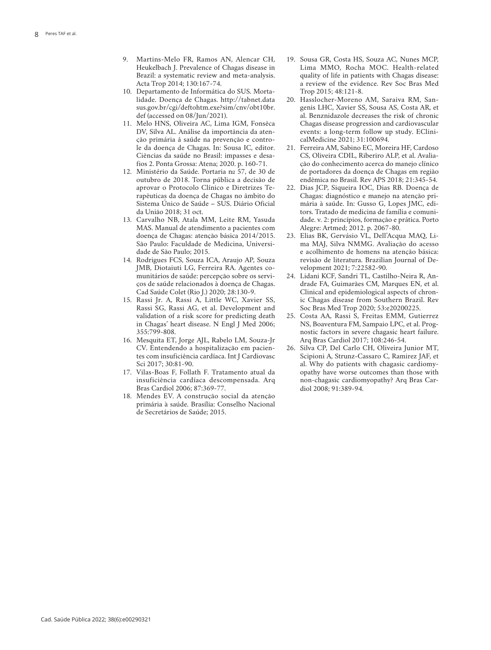- 9. Martins-Melo FR, Ramos AN, Alencar CH, Heukelbach J. Prevalence of Chagas disease in Brazil: a systematic review and meta-analysis. Acta Trop 2014; 130:167-74.
- 10. Departamento de Informática do SUS. Morta lidade. Doença de Chagas. http://tabnet.data sus.gov.br/cgi/deftohtm.exe?sim/cnv/obt10br. def (accessed on 08/Jun/2021).
- 11. Melo HNS, Oliveira AC, Lima IGM, Fonsêca DV, Silva AL. Análise da importância da aten ção primária á saúde na prevenção e contro le da doença de Chagas. In: Sousa IC, editor. Ciências da saúde no Brasil: impasses e desa fios 2. Ponta Grossa: Atena; 2020. p. 160-71.
- 12. Ministério da Saúde. Portaria nº 57, de 30 de outubro de 2018. Torna pública a decisão de aprovar o Protocolo Clínico e Diretrizes Te rapêuticas da doença de Chagas no âmbito do Sistema Único de Saúde – SUS. Diário Oficial da União 2018; 31 oct.
- 13. Carvalho NB, Atala MM, Leite RM, Yasuda MAS. Manual de atendimento a pacientes com doença de Chagas: atenção básica 2014/2015. São Paulo: Faculdade de Medicina, Universi dade de São Paulo; 2015.
- 14. Rodrigues FCS, Souza ICA, Araujo AP, Souza JMB, Diotaiuti LG, Ferreira RA. Agentes co munitários de saúde: percepção sobre os servi ços de saúde relacionados à doença de Chagas. Cad Saúde Colet (Rio J.) 2020; 28:130-9.
- 15. Rassi Jr. A, Rassi A, Little WC, Xavier SS, Rassi SG, Rassi AG, et al. Development and validation of a risk score for predicting death in Chagas' heart disease. N Engl J Med 2006; 355:799-808.
- 16. Mesquita ET, Jorge AJL, Rabelo LM, Souza-Jr CV. Entendendo a hospitalização em pacien tes com insuficiência cardíaca. Int J Cardiovasc Sci 2017; 30:81-90.
- 17. Vilas-Boas F, Follath F. Tratamento atual da insuficiência cardíaca descompensada. Arq Bras Cardiol 2006; 87:369-77.
- 18. Mendes EV. A construção social da atenção primária à saúde. Brasília: Conselho Nacional de Secretários de Saúde; 2015.
- 19. Sousa GR, Costa HS, Souza AC, Nunes MCP, Lima MMO, Rocha MOC. Health-related quality of life in patients with Chagas disease: a review of the evidence. Rev Soc Bras Med Trop 2015; 48:121-8.
- 20. Hasslocher-Moreno AM, Saraiva RM, San genis LHC, Xavier SS, Sousa AS, Costa AR, et al. Benznidazole decreases the risk of chronic Chagas disease progression and cardiovascular events: a long-term follow up study. EClini calMedicine 2021; 31:100694.
- 21. Ferreira AM, Sabino EC, Moreira HF, Cardoso CS, Oliveira CDIL, Riberiro ALP, et al. Avalia ção do conhecimento acerca do manejo clínico de portadores da doença de Chagas em região endêmica no Brasil. Rev APS 2018; 21:345-54.
- 22. Dias JCP, Siqueira IOC, Dias RB. Doença de Chagas: diagnóstico e manejo na atenção pri mária à saúde. In: Gusso G, Lopes JMC, edi tors. Tratado de medicina de família e comuni dade. v. 2: princípios, formação e prática. Porto Alegre: Artmed; 2012. p. 2067-80.
- 23. Elias BK, Gervásio VL, Dell'Acqua MAQ, Li ma MAJ, Silva NMMG. Avaliação do acesso e acolhimento de homens na atenção básica: revisão de literatura. Brazilian Journal of De velopment 2021; 7:22582-90.
- 24. Lidani KCF, Sandri TL, Castilho-Neira R, An drade FA, Guimarães CM, Marques EN, et al. Clinical and epidemiological aspects of chron ic Chagas disease from Southern Brazil. Rev Soc Bras Med Trop 2020; 53:e20200225.
- 25. Costa AA, Rassi S, Freitas EMM, Gutierrez NS, Boaventura FM, Sampaio LPC, et al. Prog nostic factors in severe chagasic heart failure. Arq Bras Cardiol 2017; 108:246-54.
- 26. Silva CP, Del Carlo CH, Oliveira Junior MT, Scipioni A, Strunz-Cassaro C, Ramirez JAF, et al. Why do patients with chagasic cardiomy opathy have worse outcomes than those with non-chagasic cardiomyopathy? Arq Bras Car diol 2008; 91:389-94.